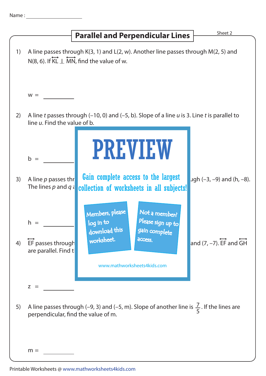| Name |  |  |  |  |
|------|--|--|--|--|
|      |  |  |  |  |

## 1) A line passes through K(3, 1) and L(2, w). Another line passes through M(2, 5) and  $W =$ 2) A line t passes through  $(-10, 0)$  and  $(-5, b)$ . Slope of a line u is 3. Line t is parallel to line  $u$ . Find the value of b.  $b =$ 3) A line p passes thr **Gain complete access to the largest**  $\bigcup_{\text{Jgh}} (-3, -9)$  and (h, -8). The lines  $p$  and  $q$  a  $\frac{1}{q}$  collection of worksheets in all subjects!  $h =$ 4)  $z =$ 5) A line passes through (-9, 3) and (-5, m). Slope of another line is  $\frac{7}{5}$ . If the lines are perpendicular, find the value of m.  $m =$ 5 **Parallel and Perpendicular Lines Finally Sheet 2**  $N(8, 6)$ . If  $\overleftrightarrow{KL}$   $\perp$  MN, find the value of w. EF passes through (4, 1) worksheet. The and  $\overrightarrow{C}$  and  $\overrightarrow{C}$  and  $\overrightarrow{C}$  and  $\overrightarrow{C}$  and  $\overrightarrow{G}$ are parallel. Find the PREVIEW www.mathworksheets4kids.com Members, please download this worksheet. log in to Not a member? gain complete Please sign up to **access**